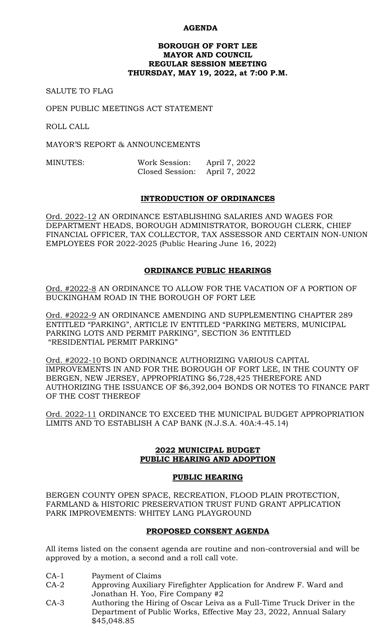### **AGENDA**

#### **BOROUGH OF FORT LEE MAYOR AND COUNCIL REGULAR SESSION MEETING THURSDAY, MAY 19, 2022, at 7:00 P.M.**

SALUTE TO FLAG

OPEN PUBLIC MEETINGS ACT STATEMENT

ROLL CALL

MAYOR'S REPORT & ANNOUNCEMENTS

MINUTES: Work Session: April 7, 2022 Closed Session: April 7, 2022

### **INTRODUCTION OF ORDINANCES**

Ord. 2022-12 AN ORDINANCE ESTABLISHING SALARIES AND WAGES FOR DEPARTMENT HEADS, BOROUGH ADMINISTRATOR, BOROUGH CLERK, CHIEF FINANCIAL OFFICER, TAX COLLECTOR, TAX ASSESSOR AND CERTAIN NON-UNION EMPLOYEES FOR 2022-2025 (Public Hearing June 16, 2022)

## **ORDINANCE PUBLIC HEARINGS**

Ord. #2022-8 AN ORDINANCE TO ALLOW FOR THE VACATION OF A PORTION OF BUCKINGHAM ROAD IN THE BOROUGH OF FORT LEE

Ord. #2022-9 AN ORDINANCE AMENDING AND SUPPLEMENTING CHAPTER 289 ENTITLED "PARKING", ARTICLE IV ENTITLED "PARKING METERS, MUNICIPAL PARKING LOTS AND PERMIT PARKING", SECTION 36 ENTITLED "RESIDENTIAL PERMIT PARKING"

Ord. #2022-10 BOND ORDINANCE AUTHORIZING VARIOUS CAPITAL IMPROVEMENTS IN AND FOR THE BOROUGH OF FORT LEE, IN THE COUNTY OF BERGEN, NEW JERSEY, APPROPRIATING \$6,728,425 THEREFORE AND AUTHORIZING THE ISSUANCE OF \$6,392,004 BONDS OR NOTES TO FINANCE PART OF THE COST THEREOF

Ord. 2022-11 ORDINANCE TO EXCEED THE MUNICIPAL BUDGET APPROPRIATION LIMITS AND TO ESTABLISH A CAP BANK (N.J.S.A. 40A:4-45.14)

#### **2022 MUNICIPAL BUDGET PUBLIC HEARING AND ADOPTION**

#### **PUBLIC HEARING**

BERGEN COUNTY OPEN SPACE, RECREATION, FLOOD PLAIN PROTECTION, FARMLAND & HISTORIC PRESERVATION TRUST FUND GRANT APPLICATION PARK IMPROVEMENTS: WHITEY LANG PLAYGROUND

#### **PROPOSED CONSENT AGENDA**

All items listed on the consent agenda are routine and non-controversial and will be approved by a motion, a second and a roll call vote.

- CA-1 Payment of Claims
- CA-2 Approving Auxiliary Firefighter Application for Andrew F. Ward and Jonathan H. Yoo, Fire Company #2
- CA-3 Authoring the Hiring of Oscar Leiva as a Full-Time Truck Driver in the Department of Public Works, Effective May 23, 2022, Annual Salary \$45,048.85